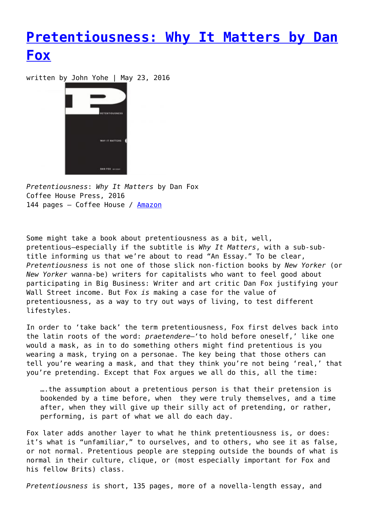## **[Pretentiousness: Why It Matters by Dan](https://entropymag.org/pretentiousness/) [Fox](https://entropymag.org/pretentiousness/)**

written by John Yohe | May 23, 2016



*Pretentiousness*: *Why It Matters* by Dan Fox Coffee House Press, 2016 144 pages – Coffee House / [Amazon](http://www.amazon.com/Pretentiousness-Why-Matters-Dan-Fox/dp/156689428X/ref=sr_1_1?ie=UTF8&qid=1463412852&sr=8-1&keywords=pretentiousness)

Some might take a book about pretentiousness as a bit, well, pretentious—especially if the subtitle is *Why It Matters*, with a sub-subtitle informing us that we're about to read "An Essay." To be clear, *Pretentiousness* is not one of those slick non-fiction books by *New Yorker* (or *New Yorker* wanna-be) writers for capitalists who want to feel good about participating in Big Business: Writer and art critic Dan Fox justifying your Wall Street income. But Fox *is* making a case for the value of pretentiousness, as a way to try out ways of living, to test different lifestyles.

In order to 'take back' the term pretentiousness, Fox first delves back into the latin roots of the word: *praetendere*—'to hold before oneself,' like one would a mask, as in to do something others might find pretentious is you wearing a mask, trying on a personae. The key being that those others can tell you're wearing a mask, and that they think you're not being 'real,' that you're pretending. Except that Fox argues we all do this, all the time:

….the assumption about a pretentious person is that their pretension is bookended by a time before, when they were truly themselves, and a time after, when they will give up their silly act of pretending, or rather, performing, is part of what we all do each day.

Fox later adds another layer to what he think pretentiousness is, or does: it's what is "unfamiliar," to ourselves, and to others, who see it as false, or not normal. Pretentious people are stepping outside the bounds of what is normal in their culture, clique, or (most especially important for Fox and his fellow Brits) class.

*Pretentiousness* is short, 135 pages, more of a novella-length essay, and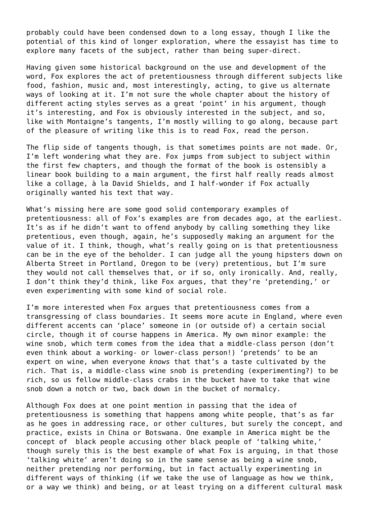probably could have been condensed down to a long essay, though I like the potential of this kind of longer exploration, where the essayist has time to explore many facets of the subject, rather than being super-direct.

Having given some historical background on the use and development of the word, Fox explores the act of pretentiousness through different subjects like food, fashion, music and, most interestingly, acting, to give us alternate ways of looking at it. I'm not sure the whole chapter about the history of different acting styles serves as a great 'point' in his argument, though it's interesting, and Fox is obviously interested in the subject, and so, like with Montaigne's tangents, I'm mostly willing to go along, because part of the pleasure of writing like this is to read Fox, read the person.

The flip side of tangents though, is that sometimes points are not made. Or, I'm left wondering what they are. Fox jumps from subject to subject within the first few chapters, and though the format of the book is ostensibly a linear book building to a main argument, the first half really reads almost like a collage, à la David Shields, and I half-wonder if Fox actually originally wanted his text that way.

What's missing here are some good solid contemporary examples of pretentiousness: all of Fox's examples are from decades ago, at the earliest. It's as if he didn't want to offend anybody by calling something they like pretentious, even though, again, he's supposedly making an argument for the value of it. I think, though, what's really going on is that pretentiousness can be in the eye of the beholder. I can judge all the young hipsters down on Alberta Street in Portland, Oregon to be (very) pretentious, but I'm sure they would not call themselves that, or if so, only ironically. And, really, I don't think they'd think, like Fox argues, that they're 'pretending,' or even experimenting with some kind of social role.

I'm more interested when Fox argues that pretentiousness comes from a transgressing of class boundaries. It seems more acute in England, where even different accents can 'place' someone in (or outside of) a certain social circle, though it of course happens in America. My own minor example: the wine snob, which term comes from the idea that a middle-class person (don't even think about a working- or lower-class person!) 'pretends' to be an expert on wine, when everyone *knows* that that's a taste cultivated by the rich. That is, a middle-class wine snob is pretending (experimenting?) to be rich, so us fellow middle-class crabs in the bucket have to take that wine snob down a notch or two, back down in the bucket of normalcy.

Although Fox does at one point mention in passing that the idea of pretentiousness is something that happens among white people, that's as far as he goes in addressing race, or other cultures, but surely the concept, and practice, exists in China or Botswana. One example in America might be the concept of black people accusing other black people of 'talking white,' though surely this is the best example of what Fox is arguing, in that those 'talking white' aren't doing so in the same sense as being a wine snob, neither pretending nor performing, but in fact actually experimenting in different ways of thinking (if we take the use of language as how we think, or a way we think) and being, or at least trying on a different cultural mask